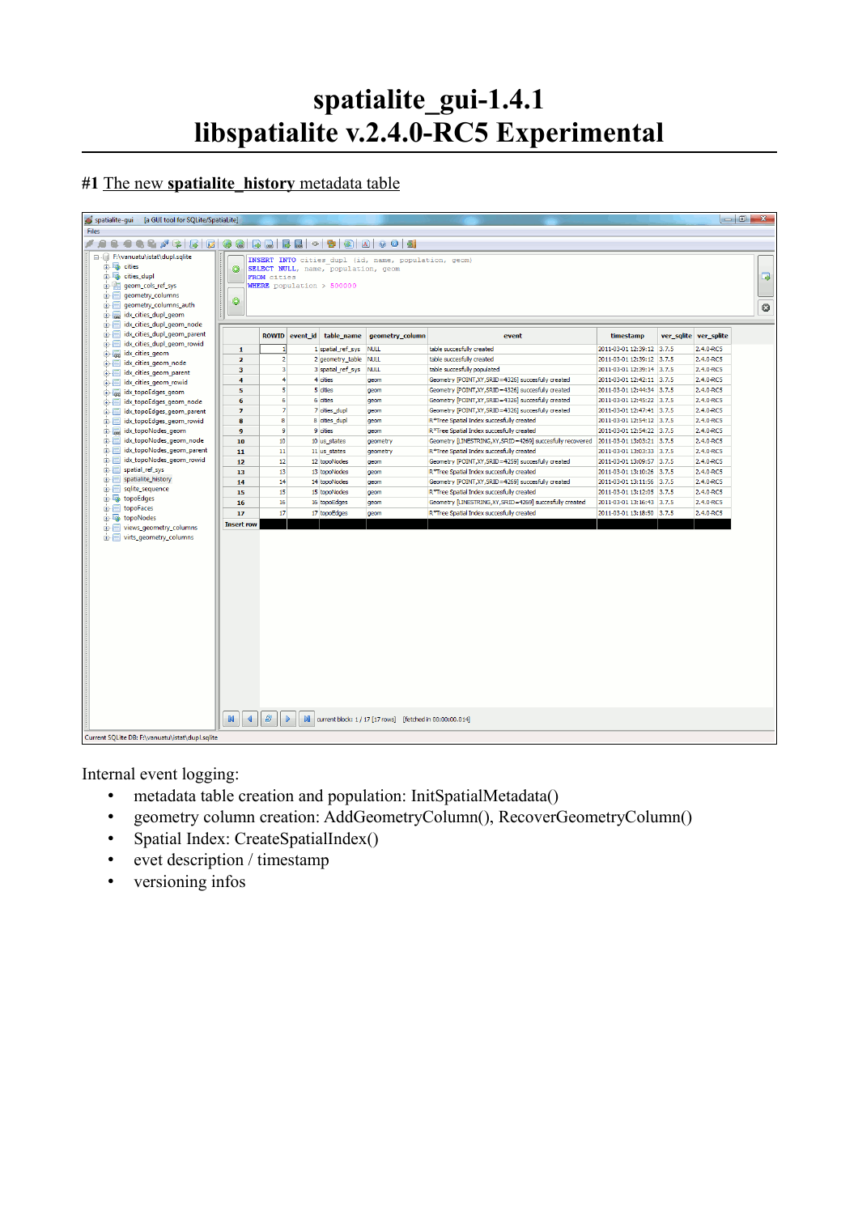# **spatialite\_gui-1.4.1 libspatialite v.2.4.0-RC5 Experimental**

## **#1** The new **spatialite\_history** metadata table

| spatialite-gui<br>[a GUI tool for SQLite/SpatiaLite]                                                                                                                                |                                     |                |          |                                                                           |                                                      |                                                                                    |                                                        |  |                            | $-0$<br>$\mathbf{x}$ |
|-------------------------------------------------------------------------------------------------------------------------------------------------------------------------------------|-------------------------------------|----------------|----------|---------------------------------------------------------------------------|------------------------------------------------------|------------------------------------------------------------------------------------|--------------------------------------------------------|--|----------------------------|----------------------|
| <b>Files</b>                                                                                                                                                                        |                                     |                |          |                                                                           |                                                      |                                                                                    |                                                        |  |                            |                      |
| 9000<br>4 2 2 3 5 0 0<br>16<br>$\overline{\omega}$<br>同<br>同.<br>$\bigoplus$<br>, ,<br>Θ.<br>€                                                                                      |                                     |                |          |                                                                           |                                                      |                                                                                    |                                                        |  |                            |                      |
| 日… F:\vanuatu\istat\dupl.sqlite<br>the cities<br>cities_dupl<br>面欄<br>geom_cols_ref_sys<br>geometry_columns<br>由信<br><br>geometry_columns_auth<br>由 匾<br>idx_cities_dupl_geom<br>由属 | $\bullet$<br>$\bullet$              | FROM cities    |          | SELECT NULL, name, population, geom<br><b>WHERE</b> population $> 500000$ | INSERT INTO cities dupl (id, name, population, geom) |                                                                                    |                                                        |  |                            | $\Box$<br>$\circ$    |
| 由 画<br>idx_cities_dupl_geom_node                                                                                                                                                    |                                     |                |          |                                                                           |                                                      |                                                                                    |                                                        |  |                            |                      |
| idx cities dupl geom parent<br>由-届                                                                                                                                                  |                                     | <b>ROWID</b>   | event_id | table_name                                                                | geometry_column                                      | event                                                                              | timestamp                                              |  | ver_sqlite ver_splite      |                      |
| idx_cities_dupl_geom_rowid<br>由-匾                                                                                                                                                   | $\mathbf{1}$                        |                |          | 1 spatial_ref_sys                                                         | <b>NULL</b>                                          | table succesfully created                                                          | 2011-03-01 12:39:12 3.7.5                              |  | 2.4.0-RC5                  |                      |
| idx_cities_geom<br>由一层                                                                                                                                                              |                                     | $\overline{2}$ |          |                                                                           |                                                      | table succesfully created                                                          | 2011-03-01 12:39:12 3.7.5                              |  | 2.4.0-RC5                  |                      |
| idx_cities_geom_node                                                                                                                                                                | $\overline{2}$                      | 3              |          | 2 geometry_table                                                          | <b>NULL</b>                                          | table succesfully populated                                                        | 2011-03-01 12:39:14 3.7.5                              |  | 2.4.0-RC5                  |                      |
| idx_cities_geom_parent<br><b>B-11</b>                                                                                                                                               | 3                                   | 4              |          | 3 spatial_ref_sys                                                         | <b>NULL</b>                                          |                                                                                    |                                                        |  |                            |                      |
| idx_cities_geom_rowid<br>由-画                                                                                                                                                        | 4                                   | 5              |          | 4 cities<br>5 cities                                                      | geom                                                 | Geometry [POINT, XY, SRID=4326] succesfully created                                | 2011-03-01 12:42:11 3.7.5<br>2011-03-01 12:44:34 3.7.5 |  | 2.4.0-RC5<br>$2.4.0 - RC5$ |                      |
| idx_topoEdges_geom<br>由 展                                                                                                                                                           | 5                                   |                |          |                                                                           | geom                                                 | Geometry [POINT, XY, SRID=4326] succesfully created                                |                                                        |  |                            |                      |
| idx topoEdges geom node<br>由-匾                                                                                                                                                      | 6                                   | 6              |          | 6 cities                                                                  | geom                                                 | Geometry [POINT, XY, SRID=4326] succesfully created                                | 2011-03-01 12:45:22 3.7.5                              |  | 2.4.0-RC5                  |                      |
| idx topoEdges geom parent<br>由-画                                                                                                                                                    | $\overline{z}$                      | $\overline{7}$ |          | 7 cities dupl                                                             | geom                                                 | Geometry [POINT, XY, SRID=4326] succesfully created                                | 2011-03-01 12:47:41 3.7.5                              |  | 2.4.0-RC5                  |                      |
| idx_topoEdges_geom_rowid<br>ė-E                                                                                                                                                     | 8                                   | $\mathbf{a}$   |          | 8 cities_dupl                                                             | geom                                                 | R*Tree Spatial Index succesfully created                                           | 2011-03-01 12:54:12 3.7.5                              |  | 2.4.0-RC5                  |                      |
| idx_topoNodes_geom<br>由展                                                                                                                                                            | $\mathbf{q}$                        | $\mathbf{q}$   |          | 9 cities                                                                  | <b>geom</b>                                          | R*Tree Spatial Index succesfully created                                           | 2011-03-01 12:54:22 3.7.5                              |  | 2.4.0-RC5                  |                      |
| idx_topoNodes_geom_node<br>$\mathbf{B}$                                                                                                                                             | 10                                  | 10             |          | 10 us states                                                              | geometry                                             | Geometry [LINESTRING,XY,SRID=4269] succesfully recovered 2011-03-01 13:03:21 3.7.5 |                                                        |  | 2.4.0-RC5                  |                      |
| idx_topoNodes_geom_parent                                                                                                                                                           | 11                                  | 11             |          | 11 us_states                                                              | geometry                                             | R*Tree Spatial Index succesfully created                                           | 2011-03-01 13:03:33 3.7.5                              |  | 2.4.0-RC5                  |                      |
| idx_topoNodes_geom_rowid                                                                                                                                                            | 12                                  | 12             |          | 12 topoNodes                                                              | geom                                                 | Geometry [POINT, XY, SRID=4259] succesfully created                                | 2011-03-01 13:09:57 3.7.5                              |  | $2.4.0 - RC5$              |                      |
| 由 画<br>spatial_ref_sys                                                                                                                                                              | 13                                  | 13             |          | 13 topoNodes                                                              | geom                                                 | R*Tree Spatial Index succesfully created                                           | 2011-03-01 13:10:26 3.7.5                              |  | 2.4.0-RC5                  |                      |
| spatialite_history<br>由一面                                                                                                                                                           | 14                                  | 14             |          | 14 topoNodes                                                              | geom                                                 | Geometry [POINT, XY, SRID=4269] succesfully created                                | 2011-03-01 13:11:56 3.7.5                              |  | 2.4.0-RC5                  |                      |
| sqlite_sequence<br>由-同                                                                                                                                                              | 15                                  | 15             |          | 15 topoNodes                                                              | geom                                                 | R*Tree Spatial Index succesfully created                                           | 2011-03-01 13:12:05 3.7.5                              |  | 2.4.0-RC5                  |                      |
| topoEdges                                                                                                                                                                           | 16                                  | 16             |          | 16 topoEdges                                                              | geom                                                 | Geometry [LINESTRING, XY, SRID=4269] succesfully created                           | 2011-03-01 13:16:43 3.7.5                              |  | 2.4.0-RC5                  |                      |
| topoFaces<br>ė-E<br>in topoNodes                                                                                                                                                    | 17                                  | 17             |          | 17 topoEdges                                                              | geom                                                 | R*Tree Spatial Index succesfully created                                           | 2011-03-01 13:18:50 3.7.5                              |  | 2.4.0-RC5                  |                      |
| views_geometry_columns<br>由幅                                                                                                                                                        | <b>Insert row</b>                   |                |          |                                                                           |                                                      |                                                                                    |                                                        |  |                            |                      |
| in Fig. 1 virts_geometry_columns                                                                                                                                                    | $\mathbb N$<br>$\blacktriangleleft$ | e.             | <b>M</b> |                                                                           |                                                      |                                                                                    |                                                        |  |                            |                      |
| current block: 1 / 17 [17 rows] [fetched in 00:00:00.014]<br>Current SQLite DB: F:\vanuatu\istat\dupl.sqlite                                                                        |                                     |                |          |                                                                           |                                                      |                                                                                    |                                                        |  |                            |                      |

Internal event logging:

- metadata table creation and population: InitSpatialMetadata()
- geometry column creation: AddGeometryColumn(), RecoverGeometryColumn()
- Spatial Index: CreateSpatialIndex()
- evet description / timestamp
- versioning infos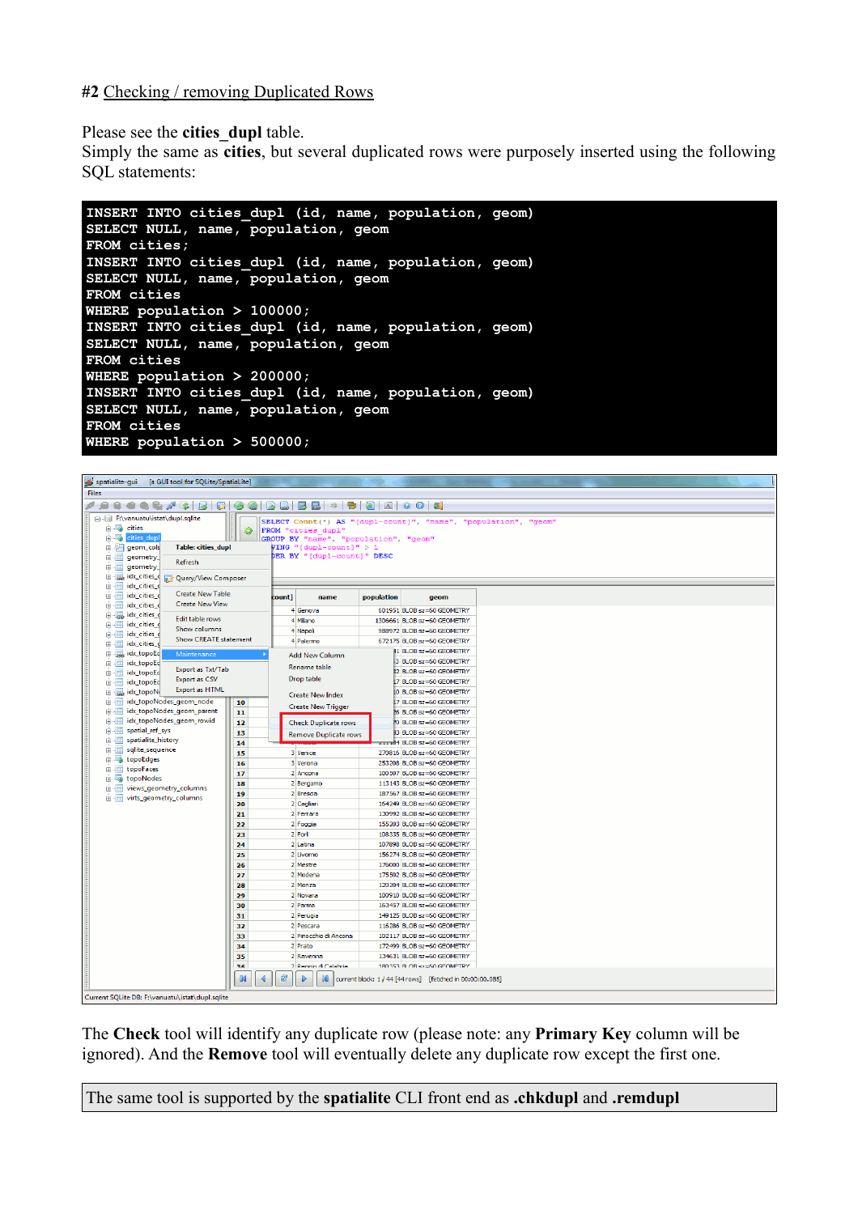#### **#2** Checking / removing Duplicated Rows

Please see the **cities** dupl table.

Simply the same as **cities**, but several duplicated rows were purposely inserted using the following SQL statements:

**INSERT INTO cities\_dupl (id, name, population, geom) SELECT NULL, name, population, geom FROM cities; INSERT INTO cities\_dupl (id, name, population, geom) SELECT NULL, name, population, geom FROM cities WHERE population > 100000; INSERT INTO cities\_dupl (id, name, population, geom) SELECT NULL, name, population, geom FROM cities WHERE population > 200000; INSERT INTO cities\_dupl (id, name, population, geom) SELECT NULL, name, population, geom FROM cities WHERE population > 500000;**

| spatialite-gui [a GUI tool for SQLite/SpatiaLite]                        |                                                                                   |  |  |  |  |  |  |  |
|--------------------------------------------------------------------------|-----------------------------------------------------------------------------------|--|--|--|--|--|--|--|
| <b>Files</b>                                                             |                                                                                   |  |  |  |  |  |  |  |
| 006/6 5 6 6 0 6 6 6 6 6 6 6 6 6 6 6 6 6<br>, ,<br>Ω.                     |                                                                                   |  |  |  |  |  |  |  |
| - Il F:\vanuatu\istat\dupl.sqlite                                        | SELECT Count (*) AS "[dupl-count]", "name", "population", "geom'                  |  |  |  |  |  |  |  |
| in a cities<br>$\bullet$                                                 | FROM "cities dupl"                                                                |  |  |  |  |  |  |  |
| <b>E-M</b> cities dupl                                                   | GROUP BY "name", "population", "geom"                                             |  |  |  |  |  |  |  |
| e- geom_cols<br><b>Table: cities dupl</b><br><b>E-</b> geometry          | VING "[dupl-count]" > 1<br>DER BY "[dupl-count]" DESC                             |  |  |  |  |  |  |  |
| Refresh<br>$\mathbf{B}$<br>geometry                                      |                                                                                   |  |  |  |  |  |  |  |
| dx_cities_c Dery/View Composer                                           |                                                                                   |  |  |  |  |  |  |  |
| idx_cities_c<br>$\mathbf{B}$                                             |                                                                                   |  |  |  |  |  |  |  |
| <b>Create New Table</b><br>idx_cities_c<br>由一面                           | population<br>count]<br>name<br>geom                                              |  |  |  |  |  |  |  |
| <b>Create New View</b><br>$\mathbf{B}$<br>idx_cities_c                   | 601951 BLOB sz=60 GEOMETRY<br>4 Genova                                            |  |  |  |  |  |  |  |
| idx_cities_c<br>Edit table rows                                          | 4 Milano<br>1306661 BLOB sz=60 GEOMETRY                                           |  |  |  |  |  |  |  |
| idx_cities_c<br>Show columns<br>idx_cities_c                             | 4 Napoli<br>988972 BLOB sz=60 GEOMETRY                                            |  |  |  |  |  |  |  |
| <b>Show CREATE statement</b><br>in-iii idx_cities_c                      | 4 Palermo<br>672175 BLOB sz=60 GEOMETRY                                           |  |  |  |  |  |  |  |
| idx_topoEc<br>Maintenance                                                | 41 BLOB sz=60 GEOMETRY<br><b>Add New Column</b>                                   |  |  |  |  |  |  |  |
| idx_topoEd<br>由国                                                         | 3 BLOB sz=60 GEOMETRY<br>Rename table                                             |  |  |  |  |  |  |  |
| Export as Txt/Tab<br>$\mathbf{H}$<br>idx_topoEc                          | 32 BLOB sz=60 GEOMETRY<br>Drop table                                              |  |  |  |  |  |  |  |
| <b>Export as CSV</b><br>idx_topoEc<br>由--画<br><b>Export as HTML</b>      | 7 BLOB sz=60 GEOMETRY                                                             |  |  |  |  |  |  |  |
| idx_topoN                                                                | 10 BLOB sz=60 GEOMETRY<br><b>Create New Index</b>                                 |  |  |  |  |  |  |  |
| idx_topoNodes_geom_node<br>由一面<br>10<br>idx_topoNodes_geom_parent<br>由一国 | 17 BLOB sz=60 GEOMETRY<br><b>Create New Trigger</b>                               |  |  |  |  |  |  |  |
| 11<br>idx_topoNodes_geom_rowid<br>$\mathbf{B}$<br>12                     | 26 BLOB sz=60 GEOMETRY<br>70 BLOB sz=60 GEOMETRY                                  |  |  |  |  |  |  |  |
| in-Fill spatial ref_sys<br>13                                            | Check Duplicate rows<br>33 BLOB sz=60 GEOMETRY                                    |  |  |  |  |  |  |  |
| 由一面<br>spatialite_history<br>14                                          | Remove Duplicate rows<br>z11184 BLOB sz=60 GEOMETRY                               |  |  |  |  |  |  |  |
| sqlite_sequence<br>由---<br>15                                            | 3 Venice<br>270816 BLOB sz=60 GEOMETRY                                            |  |  |  |  |  |  |  |
| topoEdges<br>16                                                          | 3 Verona<br>253208 BLOB sz=60 GEOMETRY                                            |  |  |  |  |  |  |  |
| $\mathbf{B}$<br>topoFaces<br>17                                          | 2 Ancona<br>100507 BLOB sz=60 GEOMETRY                                            |  |  |  |  |  |  |  |
| <b>E-5</b> topoNodes<br>18<br>views_geometry_columns<br>由一面              | 2 Bergamo<br>113143 BLOB sz=60 GEOMETRY                                           |  |  |  |  |  |  |  |
| 19<br>virts_geometry_columns<br>由一国                                      | 2 Brescia<br>187567 BLOB sz=60 GEOMETRY                                           |  |  |  |  |  |  |  |
| 20                                                                       | 2 Cagliari<br>164249 BLOB sz=60 GEOMETRY                                          |  |  |  |  |  |  |  |
| 21                                                                       | 2 Ferrara<br>130992 BLOB sz=60 GEOMETRY                                           |  |  |  |  |  |  |  |
| 22                                                                       | 2 Foggia<br>155203 BLOB sz=60 GEOMETRY                                            |  |  |  |  |  |  |  |
| 23                                                                       | 2 Forli<br>108335 BLOB sz=60 GEOMETRY                                             |  |  |  |  |  |  |  |
| 24                                                                       | 2 Latina<br>107898 BLOB sz=60 GEOMETRY                                            |  |  |  |  |  |  |  |
| 25<br>26                                                                 | 2 Livorno<br>156274 BLOB sz=60 GEOMETRY<br>2 Mestre<br>176000 BLOB sz=60 GEOMETRY |  |  |  |  |  |  |  |
| 27                                                                       | 2 Modena<br>175502 BLOB sz=60 GEOMETRY                                            |  |  |  |  |  |  |  |
| 28                                                                       | 2 Monza<br>120204 BLOB sz=60 GEOMETRY                                             |  |  |  |  |  |  |  |
| 29                                                                       | 2 Novara<br>100910 BLOB sz=60 GEOMETRY                                            |  |  |  |  |  |  |  |
| 30                                                                       | 2 Parma<br>163457 BLOB sz=60 GEOMETRY                                             |  |  |  |  |  |  |  |
| 31                                                                       | 2 Perugia<br>149 125 BLOB sz=60 GEOMETRY                                          |  |  |  |  |  |  |  |
| 32                                                                       | 2 Pescara<br>116286 BLOB sz=60 GEOMETRY                                           |  |  |  |  |  |  |  |
| 33                                                                       | 2 Pinocchio di Ancona<br>102117 BLOB sz=60 GEOMETRY                               |  |  |  |  |  |  |  |
| 34                                                                       | 2 Prato<br>172499 BLOB sz=60 GEOMETRY                                             |  |  |  |  |  |  |  |
| 35                                                                       | 2 Ravenna<br>134631 BLOB sz=60 GEOMETRY                                           |  |  |  |  |  |  |  |
| <b>as</b>                                                                | 2 Reggio di Calabria<br>180353 BLOB S7=60 GEOMETRY                                |  |  |  |  |  |  |  |
| <b>IN</b>                                                                | <b>M</b><br>current block: 1 / 44 [44 rows] [fetched in 00:00:00.085]             |  |  |  |  |  |  |  |
| Current SQLite DB: F:\vanuatu\istat\dupl.sqlite                          |                                                                                   |  |  |  |  |  |  |  |

The **Check** tool will identify any duplicate row (please note: any **Primary Key** column will be ignored). And the **Remove** tool will eventually delete any duplicate row except the first one.

The same tool is supported by the **spatialite** CLI front end as **.chkdupl** and **.remdupl**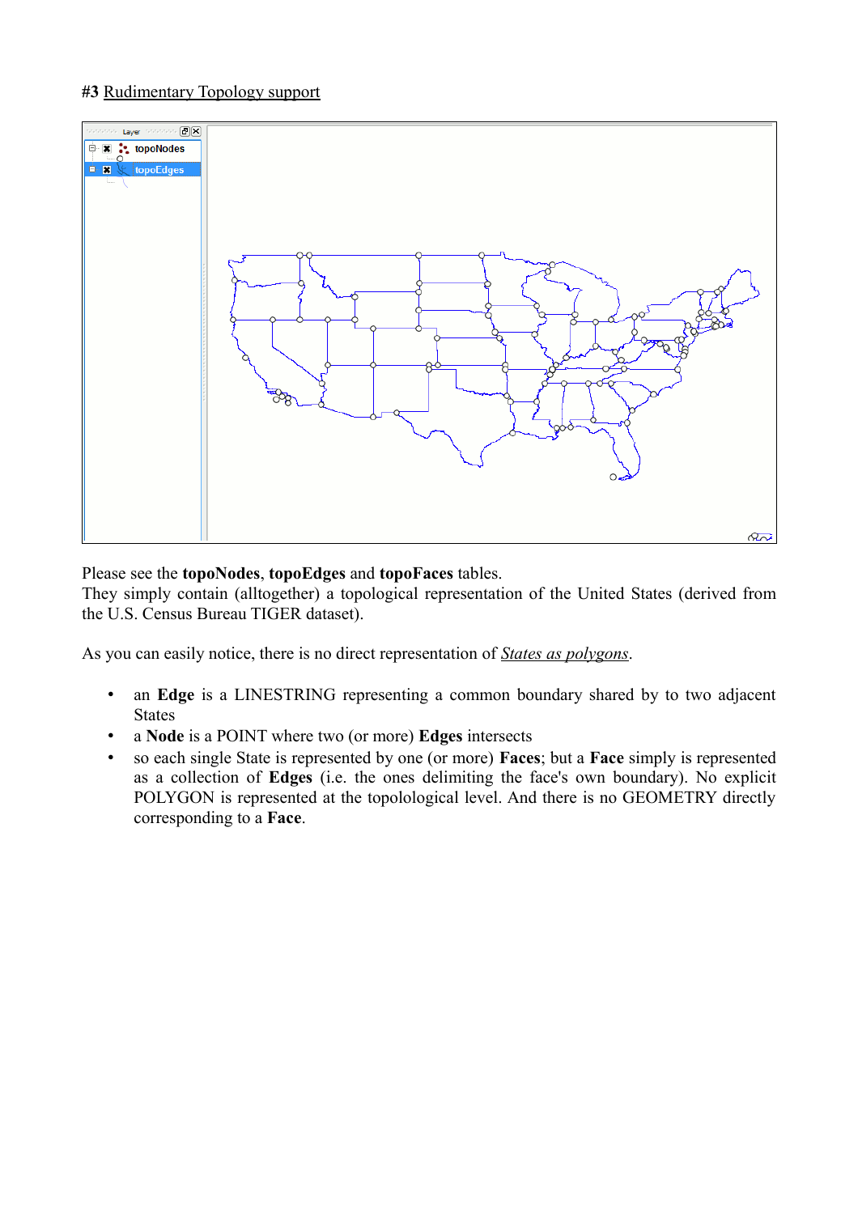## **#3** Rudimentary Topology support



#### Please see the **topoNodes**, **topoEdges** and **topoFaces** tables.

They simply contain (alltogether) a topological representation of the United States (derived from the U.S. Census Bureau TIGER dataset).

As you can easily notice, there is no direct representation of *States as polygons*.

- an **Edge** is a LINESTRING representing a common boundary shared by to two adjacent States
- a **Node** is a POINT where two (or more) **Edges** intersects
- so each single State is represented by one (or more) **Faces**; but a **Face** simply is represented as a collection of **Edges** (i.e. the ones delimiting the face's own boundary). No explicit POLYGON is represented at the topolological level. And there is no GEOMETRY directly corresponding to a **Face**.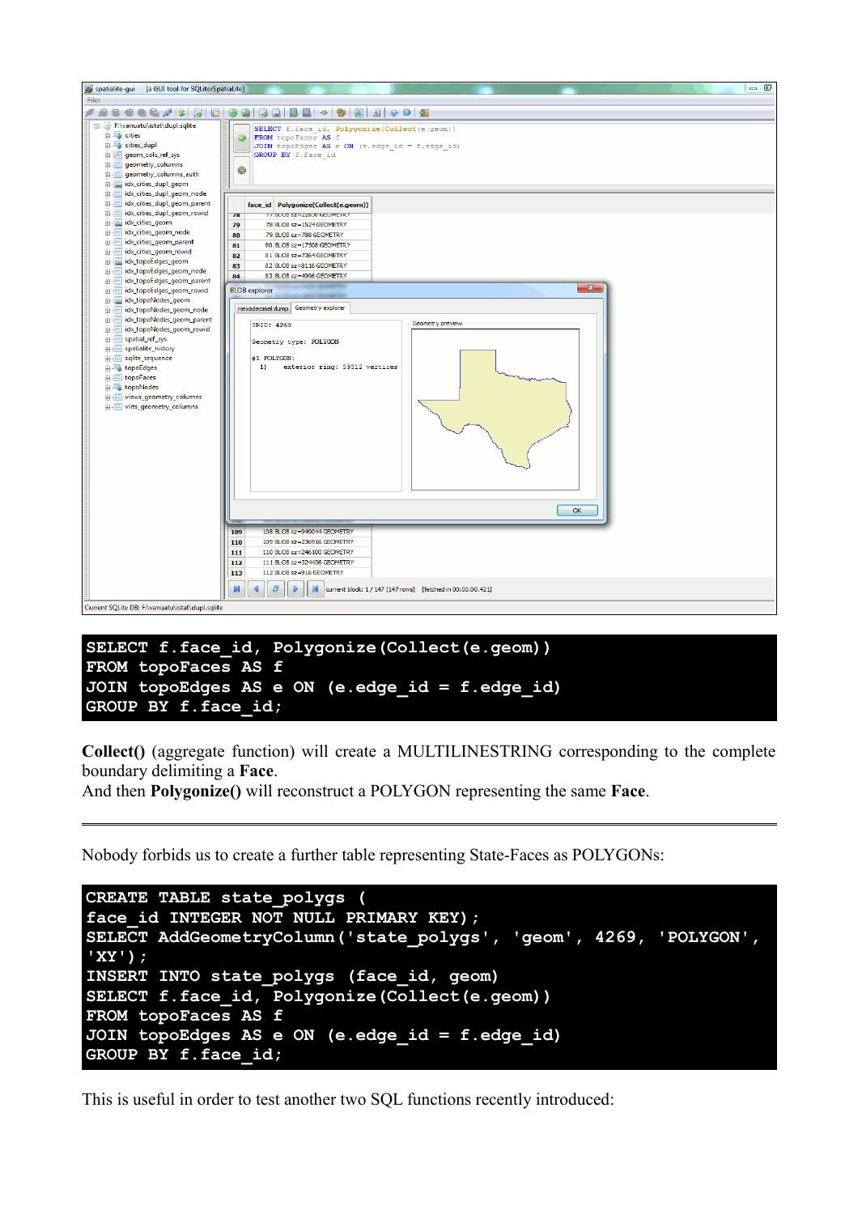

#### **SELECT f.face\_id, Polygonize(Collect(e.geom)) FROM topoFaces AS f JOIN topoEdges AS e ON (e.edge\_id = f.edge\_id) GROUP BY f.face\_id;**

**Collect()** (aggregate function) will create a MULTILINESTRING corresponding to the complete boundary delimiting a **Face**.

And then **Polygonize()** will reconstruct a POLYGON representing the same **Face**.

Nobody forbids us to create a further table representing State-Faces as POLYGONs:

```
CREATE TABLE state_polygs (
face_id INTEGER NOT NULL PRIMARY KEY);
SELECT AddGeometryColumn('state_polygs', 'geom', 4269, 'POLYGON',
'XY');
INSERT INTO state_polygs (face_id, geom)
SELECT f.face_id, Polygonize(Collect(e.geom))
FROM topoFaces AS f
JOIN topoEdges AS e ON (e.edge_id = f.edge_id)
GROUP BY f.face_id;
```
This is useful in order to test another two SQL functions recently introduced: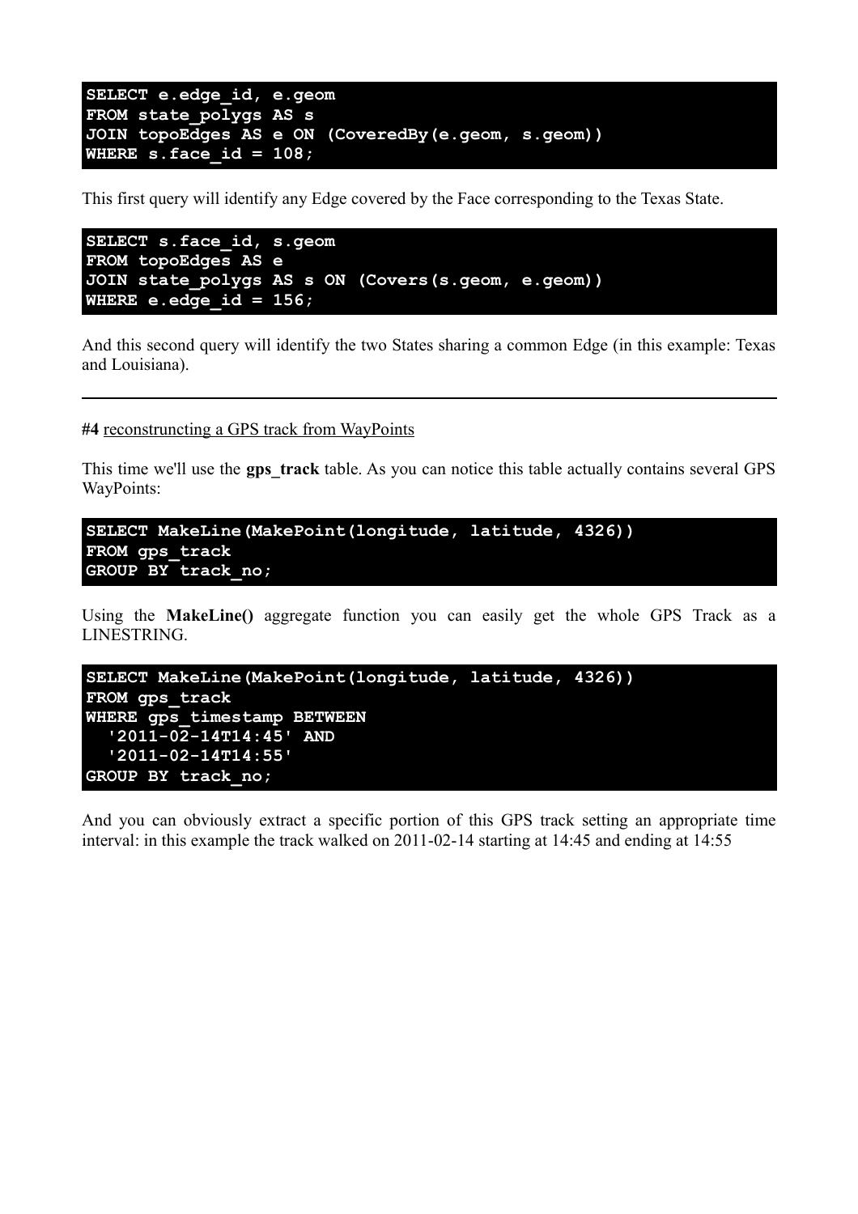```
SELECT e.edge_id, e.geom
FROM state_polygs AS s
JOIN topoEdges AS e ON (CoveredBy(e.geom, s.geom))
WHERE s.face_id = 108;
```
This first query will identify any Edge covered by the Face corresponding to the Texas State.

```
SELECT s.face_id, s.geom
FROM topoEdges AS e
JOIN state_polygs AS s ON (Covers(s.geom, e.geom))
WHERE e.edge_id = 156;
```
And this second query will identify the two States sharing a common Edge (in this example: Texas and Louisiana).

**#4** reconstruncting a GPS track from WayPoints

This time we'll use the **gps** track table. As you can notice this table actually contains several GPS WayPoints:

```
SELECT MakeLine(MakePoint(longitude, latitude, 4326))
FROM gps_track
GROUP BY track_no;
```
Using the **MakeLine()** aggregate function you can easily get the whole GPS Track as a LINESTRING.

```
SELECT MakeLine(MakePoint(longitude, latitude, 4326))
FROM gps_track
WHERE gps_timestamp BETWEEN 
   '2011-02-14T14:45' AND 
   '2011-02-14T14:55'
GROUP BY track_no;
```
And you can obviously extract a specific portion of this GPS track setting an appropriate time interval: in this example the track walked on 2011-02-14 starting at 14:45 and ending at 14:55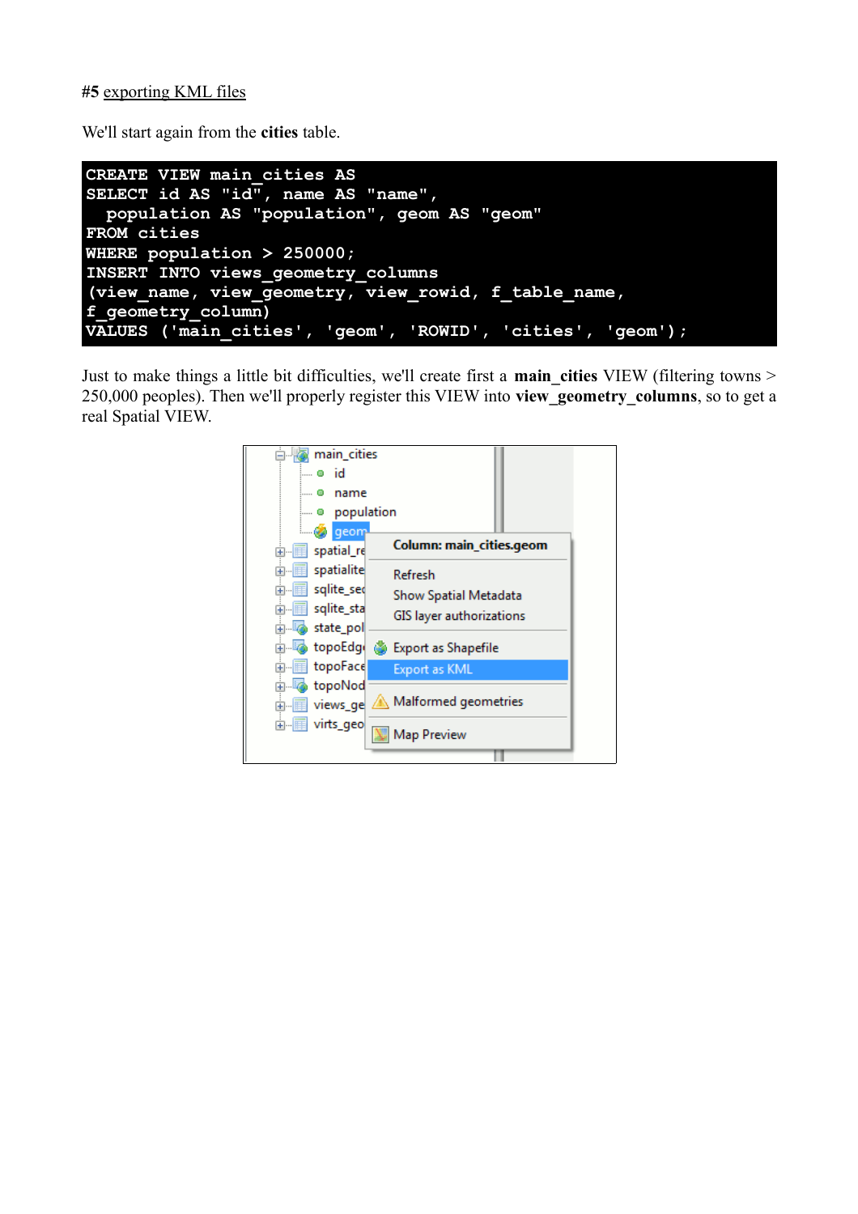## **#5** exporting KML files

We'll start again from the **cities** table.



Just to make things a little bit difficulties, we'll create first a **main\_cities** VIEW (filtering towns > 250,000 peoples). Then we'll properly register this VIEW into **view\_geometry\_columns**, so to get a real Spatial VIEW.